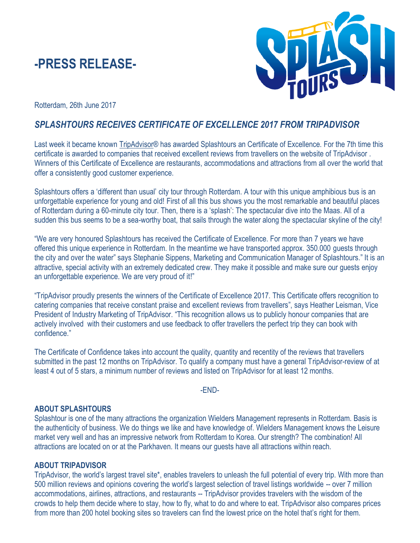# **-PRESS RELEASE-**



Rotterdam, 26th June 2017

## *SPLASHTOURS RECEIVES CERTIFICATE OF EXCELLENCE 2017 FROM TRIPADVISOR*

Last week it became known [TripAdvisor®](http://www.tripadvisor.nl/) has awarded Splashtours an Certificate of Excellence. For the 7th time this certificate is awarded to companies that received excellent reviews from travellers on the website of TripAdvisor . Winners of this Certificate of Excellence are restaurants, accommodations and attractions from all over the world that offer a consistently good customer experience.

Splashtours offers a 'different than usual' city tour through Rotterdam. A tour with this unique amphibious bus is an unforgettable experience for young and old! First of all this bus shows you the most remarkable and beautiful places of Rotterdam during a 60-minute city tour. Then, there is a 'splash': The spectacular dive into the Maas. All of a sudden this bus seems to be a sea-worthy boat, that sails through the water along the spectacular skyline of the city!

"We are very honoured Splashtours has received the Certificate of Excellence. For more than 7 years we have offered this unique experience in Rotterdam. In the meantime we have transported approx. 350.000 guests through the city and over the water" says Stephanie Sippens, Marketing and Communication Manager of Splashtours." It is an attractive, special activity with an extremely dedicated crew. They make it possible and make sure our guests enjoy an unforgettable experience. We are very proud of it!"

"TripAdvisor proudly presents the winners of the Certificate of Excellence 2017. This Certificate offers recognition to catering companies that receive constant praise and excellent reviews from travellers", says Heather Leisman, Vice President of Industry Marketing of TripAdvisor. "This recognition allows us to publicly honour companies that are actively involved with their customers and use feedback to offer travellers the perfect trip they can book with confidence."

The Certificate of Confidence takes into account the quality, quantity and recentity of the reviews that travellers submitted in the past 12 months on TripAdvisor. To qualify a company must have a general TripAdvisor-review of at least 4 out of 5 stars, a minimum number of reviews and listed on TripAdvisor for at least 12 months.

### -END-

### **ABOUT SPLASHTOURS**

Splashtour is one of the many attractions the organization Wielders Management represents in Rotterdam. Basis is the authenticity of business. We do things we like and have knowledge of. Wielders Management knows the Leisure market very well and has an impressive network from Rotterdam to Korea. Our strength? The combination! All attractions are located on or at the Parkhaven. It means our guests have all attractions within reach.

### **ABOUT TRIPADVISOR**

TripAdvisor, the world's largest travel site\*, enables travelers to unleash the full potential of every trip. With more than 500 million reviews and opinions covering the world's largest selection of travel listings worldwide -- over 7 million accommodations, airlines, attractions, and restaurants -- TripAdvisor provides travelers with the wisdom of the crowds to help them decide where to stay, how to fly, what to do and where to eat. TripAdvisor also compares prices from more than 200 hotel booking sites so travelers can find the lowest price on the hotel that's right for them.